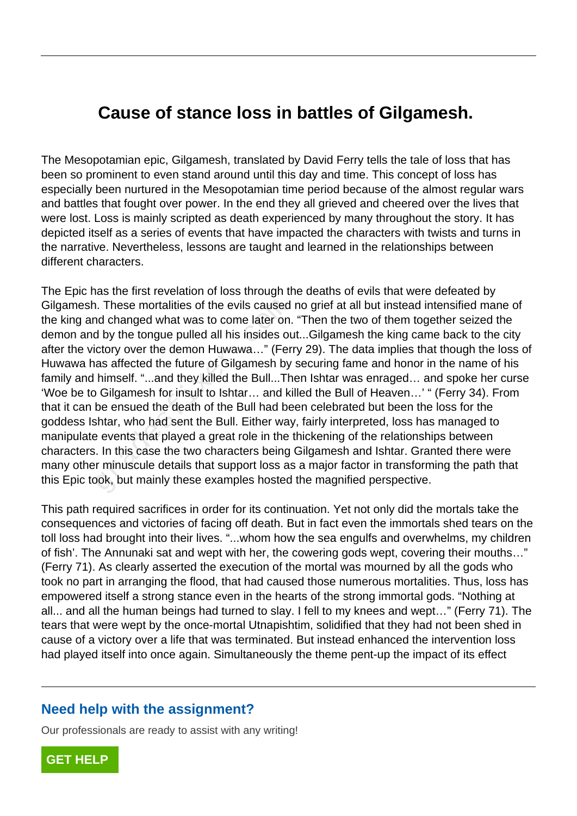## **Cause of stance loss in battles of Gilgamesh.**

The Mesopotamian epic, Gilgamesh, translated by David Ferry tells the tale of loss that has been so prominent to even stand around until this day and time. This concept of loss has especially been nurtured in the Mesopotamian time period because of the almost regular wars and battles that fought over power. In the end they all grieved and cheered over the lives that were lost. Loss is mainly scripted as death experienced by many throughout the story. It has depicted itself as a series of events that have impacted the characters with twists and turns in the narrative. Nevertheless, lessons are taught and learned in the relationships between different characters.

The Epic has the first revelation of loss through the deaths of evils that were defeated by Gilgamesh. These mortalities of the evils caused no grief at all but instead intensified mane of the king and changed what was to come later on. "Then the two of them together seized the demon and by the tongue pulled all his insides out...Gilgamesh the king came back to the city after the victory over the demon Huwawa…" (Ferry 29). The data implies that though the loss of Huwawa has affected the future of Gilgamesh by securing fame and honor in the name of his family and himself. "...and they killed the Bull...Then Ishtar was enraged... and spoke her curse 'Woe be to Gilgamesh for insult to Ishtar… and killed the Bull of Heaven…' " (Ferry 34). From that it can be ensued the death of the Bull had been celebrated but been the loss for the goddess Ishtar, who had sent the Bull. Either way, fairly interpreted, loss has managed to manipulate events that played a great role in the thickening of the relationships between characters. In this case the two characters being Gilgamesh and Ishtar. Granted there were many other minuscule details that support loss as a major factor in transforming the path that this Epic took, but mainly these examples hosted the magnified perspective. n. These mortalities of the evils caused<br>nd changed what was to come later on.<br>d by the tongue pulled all his insides ou<br>ictory over the demon Huwawa..." (Fer<br>as affected the future of Gilgamesh by<br>himself. "...and they ki

This path required sacrifices in order for its continuation. Yet not only did the mortals take the consequences and victories of facing off death. But in fact even the immortals shed tears on the toll loss had brought into their lives. "...whom how the sea engulfs and overwhelms, my children of fish'. The Annunaki sat and wept with her, the cowering gods wept, covering their mouths…" (Ferry 71). As clearly asserted the execution of the mortal was mourned by all the gods who took no part in arranging the flood, that had caused those numerous mortalities. Thus, loss has empowered itself a strong stance even in the hearts of the strong immortal gods. "Nothing at all... and all the human beings had turned to slay. I fell to my knees and wept…" (Ferry 71). The tears that were wept by the once-mortal Utnapishtim, solidified that they had not been shed in cause of a victory over a life that was terminated. But instead enhanced the intervention loss had played itself into once again. Simultaneously the theme pent-up the impact of its effect

## **Need help with the assignment?**

Our professionals are ready to assist with any writing!

**[GET HELP](https://my.gradesfixer.com/order?utm_campaign=pdf_sample)**